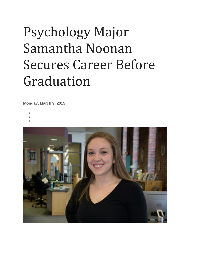## Psychology Major Samantha Noonan Secures Career Before Graduation

**Monday, March 9, 2015**

- •
- •
- •

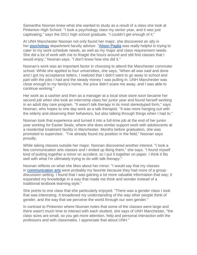Samantha Noonan knew what she wanted to study as a result of a class she took at Pinkerton High School. "I took a psychology class my senior year, and it was just captivating," says the 2011 high school graduate. "I couldn't get enough of it."

At UNH Manchester Noonan not only found her major, she discovered an ally in her [psychology](https://manchester.unh.edu/program/ba/psychology-major) department faculty advisor. ["Alison Paglia](https://manchester.unh.edu/person/alison-paglia) was really helpful in trying to cater to my work schedule needs, as well as my major and class requirement needs. She did a lot of work with me to finagle the hours around and still find classes that I would enjoy," Noonan says. "I don't know how she did it."

Noonan's work was an important factor in choosing to attend the Manchester commuter school. While she applied to four universities, she says, "When all was said and done and I got my acceptance letters, I realized that I didn't want to go away to school and part with the jobs I had and the steady money I was pulling in. UNH Manchester was close enough to my family's home, the price didn't scare me away, and I was able to continue working."

Her work as a cashier and then as a manager at a local shoe store soon became her second job when she took an internship class her junior year and found herself working in an adult day care program. "It wasn't talk therapy in its most stereotyped form," says Noonan, who hopes to one day work as a talk therapist. "It was more hanging out with the elderly and observing their behaviors, but also talking through things when I had to."

Noonan took that experience and turned it into a full-time job at the end of her junior year working for Easter Seals, where she does similar support work with adolescents at a residential treatment facility in Manchester. Months before graduation, she was promoted to supervisor. "I've already found my position in the field," Noonan says proudly.

While taking classes outside her major, Noonan discovered another interest. "I took a few communication arts classes and I ended up liking them," she says. "I found myself kind of putting together a minor on accident, so I put it together on paper. I think it fits well with what I'm ultimately trying to do with talk therapy."

Noonan reflects on what she likes about her minor. "I would say that my classes in [communication arts](https://manchester.unh.edu/program/ba/communication-arts-major) were probably my favorite because they had more of a groupdiscussion setting. I found that I was gaining a lot more valuable information that way; it expanded my knowledge in a way that made me think and wonder instead of a traditional textbook learning style."

She points to one class that she particularly enjoyed. "There was a gender class I took that was interesting. It broadened my understanding of the way other people think of gender, and the way that we perceive the world through our own gender."

In contrast to Pinkerton where Noonan notes that some of the classes were large and there wasn't much time to interact with each student, she says of UNH Manchester, "the class sizes are small, so you get more attention, help and personal interaction with the professors and with classmates. I appreciate that about UNH."